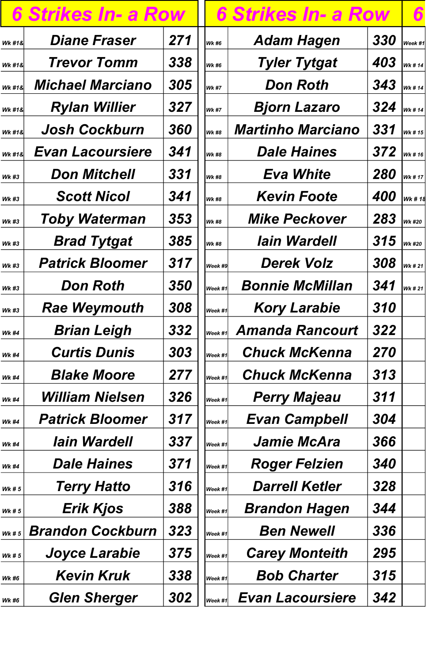|                   | 6 Strikes In- a Row     |                   |
|-------------------|-------------------------|-------------------|
| <b>Wk #1&amp;</b> | <b>Diane Fraser</b>     | 271               |
| Wk #1&            | <b>Trevor Tomm</b>      | 338               |
| Wk #1&            | <b>Michael Marciano</b> | 305               |
| Wk #1&            | <b>Rylan Willier</b>    | 327               |
| <b>Wk #1&amp;</b> | <b>Josh Cockburn</b>    | 360               |
| Wk #1&            | <b>Evan Lacoursiere</b> | 341               |
| <b>Wk #3</b>      | <b>Don Mitchell</b>     | 331               |
| <b>Wk #3</b>      | <b>Scott Nicol</b>      | 341               |
| <b>Wk #3</b>      | <b>Toby Waterman</b>    | 353               |
| <b>Wk #3</b>      | <b>Brad Tytgat</b>      | 385               |
| <b>Wk #3</b>      | <b>Patrick Bloomer</b>  | 317               |
| <b>Wk #3</b>      | Don Roth                | <i><b>350</b></i> |
| <b>Wk #3</b>      | <b>Rae Weymouth</b>     | 308               |
| <b>Wk #4</b>      | <b>Brian Leigh</b>      | 332               |
| <b>Wk #4</b>      | <b>Curtis Dunis</b>     | 303               |
| <b>Wk #4</b>      | <b>Blake Moore</b>      | 277               |
| <b>Wk #4</b>      | <b>William Nielsen</b>  | 326               |
| <b>Wk #4</b>      | <b>Patrick Bloomer</b>  | 317               |
| <b>Wk #4</b>      | <b>lain Wardell</b>     | 337               |
| <b>Wk #4</b>      | <b>Dale Haines</b>      | 371               |
|                   | Tarry Hatto             | 216               |

| <b>6 Strikes In- a Row</b> |                         |     | <b>6 Strikes In- a Row</b> |                          |                   |               |
|----------------------------|-------------------------|-----|----------------------------|--------------------------|-------------------|---------------|
| <b>Wk #1&amp;</b>          | <b>Diane Fraser</b>     | 271 | <b>Wk #6</b>               | <b>Adam Hagen</b>        | 330               | Week #1       |
| <b>Wk #1&amp;</b>          | <b>Trevor Tomm</b>      | 338 | <b>Wk #6</b>               | <b>Tyler Tytgat</b>      | 403               | <b>Wk #14</b> |
| Wk #1&                     | <b>Michael Marciano</b> | 305 | <b>Wk #7</b>               | <b>Don Roth</b>          | 343               | Wk # 14       |
| <b>Wk #1&amp;</b>          | <b>Rylan Willier</b>    | 327 | <b>Wk #7</b>               | <b>Bjorn Lazaro</b>      | 324               | Wk # 14       |
| <b>Wk #1&amp;</b>          | <b>Josh Cockburn</b>    | 360 | <b>Wk #8</b>               | <b>Martinho Marciano</b> | 331               | Wk # 15       |
| <b>WK#1&amp;</b>           | <b>Evan Lacoursiere</b> | 341 | <b>Wk #8</b>               | <b>Dale Haines</b>       | 372               | Wk # 16       |
| <b>Wk #3</b>               | <b>Don Mitchell</b>     | 331 | <b>Wk #8</b>               | <b>Eva White</b>         | <b>280</b>        | Wk # 17       |
| <b>Wk #3</b>               | <b>Scott Nicol</b>      | 341 | <b>Wk #8</b>               | <b>Kevin Foote</b>       | 400               | Wk # 18       |
| <b>Wk #3</b>               | <b>Toby Waterman</b>    | 353 | <b>Wk #8</b>               | <b>Mike Peckover</b>     | 283               | <b>Wk #20</b> |
| <b>Wk #3</b>               | <b>Brad Tytgat</b>      | 385 | <b>Wk #8</b>               | <b>lain Wardell</b>      | 315 $ _{Wk\#20} $ |               |
| <b>Wk #3</b>               | <b>Patrick Bloomer</b>  | 317 | Week #9                    | <b>Derek Volz</b>        | 308               | Wk # 21       |
| <b>Wk #3</b>               | <b>Don Roth</b>         | 350 | $ _{\mathit{Week~\#1}} $   | <b>Bonnie McMillan</b>   | 341               | <b>Wk #21</b> |
| <b>Wk #3</b>               | <b>Rae Weymouth</b>     | 308 | Week #1                    | <b>Kory Larabie</b>      | 310               |               |
| <b>Wk #4</b>               | <b>Brian Leigh</b>      | 332 | Week #1                    | <b>Amanda Rancourt</b>   | 322               |               |
| <b>Wk #4</b>               | <b>Curtis Dunis</b>     | 303 | $ _{\textit{Week #1}} $    | <b>Chuck McKenna</b>     | 270               |               |
| <b>Wk #4</b>               | <b>Blake Moore</b>      | 277 | $ _{\textit{Week #1}} $    | <b>Chuck McKenna</b>     | 313               |               |
| <b>Wk #4</b>               | <b>William Nielsen</b>  | 326 | Week #1                    | <b>Perry Majeau</b>      | 311               |               |
| <b>Wk #4</b>               | <b>Patrick Bloomer</b>  | 317 | Week #1                    | <b>Evan Campbell</b>     | 304               |               |
| <b>Wk #4</b>               | <b>lain Wardell</b>     | 337 | Week #1                    | <b>Jamie McAra</b>       | 366               |               |
| <b>Wk #4</b>               | <b>Dale Haines</b>      | 371 | Week #1                    | <b>Roger Felzien</b>     | 340               |               |
| <b>Wk #5</b>               | <b>Terry Hatto</b>      | 316 | Week #1                    | <b>Darrell Ketler</b>    | 328               |               |
| <b>Wk #5</b>               | <b>Erik Kjos</b>        | 388 | Week #1                    | <b>Brandon Hagen</b>     | 344               |               |
| Wk#5                       | <b>Brandon Cockburn</b> | 323 | Week #1                    | <b>Ben Newell</b>        | 336               |               |
| <b>Wk # 5</b>              | <b>Joyce Larabie</b>    | 375 | Week #1                    | <b>Carey Monteith</b>    | 295               |               |
| <b>Wk #6</b>               | <b>Kevin Kruk</b>       | 338 | $ W$ eek #1 $ $            | <b>Bob Charter</b>       | 315               |               |
| <b>Wk #6</b>               | <b>Glen Sherger</b>     | 302 | $ Week\#1 $                | <b>Evan Lacoursiere</b>  | 342               |               |